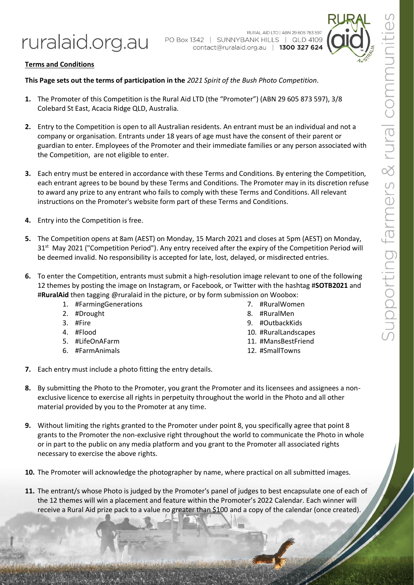ruralaid.org.au

RURAL AID LTD | ABN 29 605 783 597 PO Box 1342 | SUNNYBANK HILLS | QLD 4109 contact@ruralaid.org.au | 1300 327 624



## **Terms and Conditions**

## **This Page sets out the terms of participation in the** *2021 Spirit of the Bush Photo Competition*.

- **1.** The Promoter of this Competition is the Rural Aid LTD (the "Promoter") (ABN 29 605 873 597), 3/8 Colebard St East, Acacia Ridge QLD, Australia.
- **2.** Entry to the Competition is open to all Australian residents. An entrant must be an individual and not a company or organisation. Entrants under 18 years of age must have the consent of their parent or guardian to enter. Employees of the Promoter and their immediate families or any person associated with the Competition, are not eligible to enter.
- **3.** Each entry must be entered in accordance with these Terms and Conditions. By entering the Competition, each entrant agrees to be bound by these Terms and Conditions. The Promoter may in its discretion refuse to award any prize to any entrant who fails to comply with these Terms and Conditions. All relevant instructions on the Promoter's website form part of these Terms and Conditions.
- **4.** Entry into the Competition is free.
- **5.** The Competition opens at 8am (AEST) on Monday, 15 March 2021 and closes at 5pm (AEST) on Monday, 31<sup>st</sup> May 2021 ("Competition Period"). Any entry received after the expiry of the Competition Period will be deemed invalid. No responsibility is accepted for late, lost, delayed, or misdirected entries.
- **6.** To enter the Competition, entrants must submit a high-resolution image relevant to one of the following 12 themes by posting the image on Instagram, or Facebook, or Twitter with the hashtag #**SOTB2021** and #**RuralAid** then tagging @ruralaid in the picture, or by form submission on Woobox:
	- 1. #FarmingGenerations
	- 2. #Drought
	- 3. #Fire
	- 4. #Flood
	- 5. #LifeOnAFarm
	- 6. #FarmAnimals
- 7. #RuralWomen
- 8. #RuralMen
- 9. #OutbackKids
- 10. #RuralLandscapes
- 11. #MansBestFriend
- 12. #SmallTowns
- **7.** Each entry must include a photo fitting the entry details.
- **8.** By submitting the Photo to the Promoter, you grant the Promoter and its licensees and assignees a nonexclusive licence to exercise all rights in perpetuity throughout the world in the Photo and all other material provided by you to the Promoter at any time.
- **9.** Without limiting the rights granted to the Promoter under point 8, you specifically agree that point 8 grants to the Promoter the non-exclusive right throughout the world to communicate the Photo in whole or in part to the public on any media platform and you grant to the Promoter all associated rights necessary to exercise the above rights.
- **10.** The Promoter will acknowledge the photographer by name, where practical on all submitted images.
- **11.** The entrant/s whose Photo is judged by the Promoter's panel of judges to best encapsulate one of each of the 12 themes will win a placement and feature within the Promoter's 2022 Calendar. Each winner will receive a Rural Aid prize pack to a value no greater than \$100 and a copy of the calendar (once created).